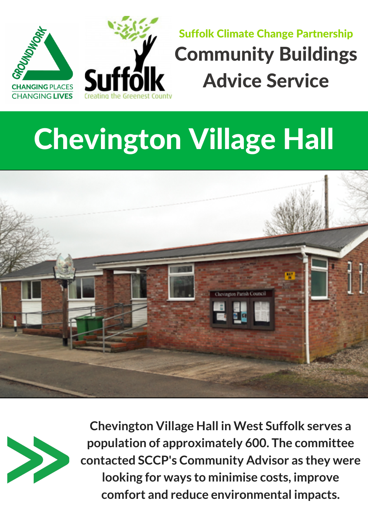



## Suffolk Climate Change Partnership Community Buildings Advice Service

## Chevington Village Hall





**Chevington Village Hall in West Suffolk serves a population of approximately 600. The committee contacted SCCP's Community Advisor as they were looking for ways to minimise costs, improve comfort and reduce environmental impacts.**